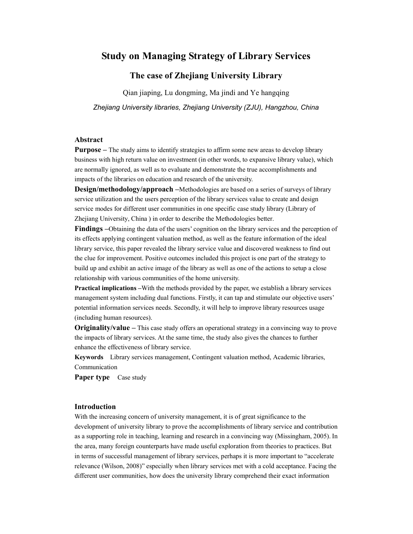# **Study on Managing Strategy of Library Services**

## **The case of Zhejiang University Library**

Qian jiaping, Lu dongming, Ma jindi and Ye hangqing *Zhejiang University libraries, Zhejiang University (ZJU), Hangzhou, China* 

### **Abstract**

**Purpose** – The study aims to identify strategies to affirm some new areas to develop library business with high return value on investment (in other words, to expansive library value), which are normally ignored, as well as to evaluate and demonstrate the true accomplishments and impacts of the libraries on education and research of the university.

**Design/methodology/approach –**Methodologies are based on a series of surveys of library service utilization and the users perception of the library services value to create and design service modes for different user communities in one specific case study library (Library of Zhejiang University, China ) in order to describe the Methodologies better.

**Findings –**Obtaining the data of the users' cognition on the library services and the perception of its effects applying contingent valuation method, as well as the feature information of the ideal library service, this paper revealed the library service value and discovered weakness to find out the clue for improvement. Positive outcomes included this project is one part of the strategy to build up and exhibit an active image of the library as well as one of the actions to setup a close relationship with various communities of the home university.

**Practical implications –**With the methods provided by the paper, we establish a library services management system including dual functions. Firstly, it can tap and stimulate our objective users' potential information services needs. Secondly, it will help to improve library resources usage (including human resources).

**Originality/value –** This case study offers an operational strategy in a convincing way to prove the impacts of library services. At the same time, the study also gives the chances to further enhance the effectiveness of library service.

**Keywords** Library services management, Contingent valuation method, Academic libraries, Communication

**Paper type** Case study

## **Introduction**

With the increasing concern of university management, it is of great significance to the development of university library to prove the accomplishments of library service and contribution as a supporting role in teaching, learning and research in a convincing way (Missingham, 2005). In the area, many foreign counterparts have made useful exploration from theories to practices. But in terms of successful management of library services, perhaps it is more important to "accelerate relevance (Wilson, 2008)" especially when library services met with a cold acceptance. Facing the different user communities, how does the university library comprehend their exact information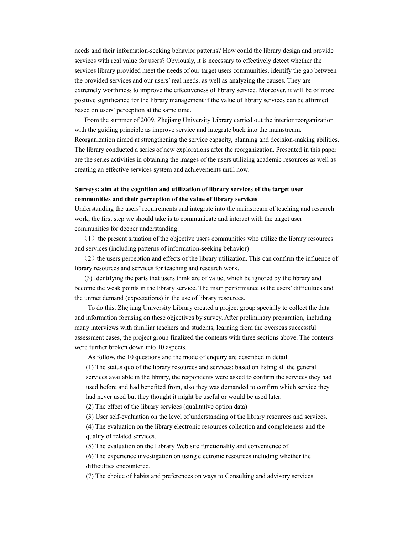needs and their information-seeking behavior patterns? How could the library design and provide services with real value for users? Obviously, it is necessary to effectively detect whether the services library provided meet the needs of our target users communities, identify the gap between the provided services and our users' real needs, as well as analyzing the causes. They are extremely worthiness to improve the effectiveness of library service. Moreover, it will be of more positive significance for the library management if the value of library services can be affirmed based on users' perception at the same time.

From the summer of 2009, Zhejiang University Library carried out the interior reorganization with the guiding principle as improve service and integrate back into the mainstream. Reorganization aimed at strengthening the service capacity, planning and decision-making abilities. The library conducted a series of new explorations after the reorganization. Presented in this paper are the series activities in obtaining the images of the users utilizing academic resources as well as creating an effective services system and achievements until now**.** 

## **Surveys: aim at the cognition and utilization of library services of the target user communities and their perception of the value of library services**

Understanding the users' requirements and integrate into the mainstream of teaching and research work, the first step we should take is to communicate and interact with the target user communities for deeper understanding:

 $(1)$  the present situation of the objective users communities who utilize the library resources and services (including patterns of information-seeking behavior)

 $(2)$  the users perception and effects of the library utilization. This can confirm the influence of library resources and services for teaching and research work.

(3) Identifying the parts that users think are of value, which be ignored by the library and become the weak points in the library service. The main performance is the users' difficulties and the unmet demand (expectations) in the use of library resources.

To do this, Zhejiang University Library created a project group specially to collect the data and information focusing on these objectives by survey. After preliminary preparation, including many interviews with familiar teachers and students, learning from the overseas successful assessment cases, the project group finalized the contents with three sections above. The contents were further broken down into 10 aspects.

As follow, the 10 questions and the mode of enquiry are described in detail.

(1) The status quo of the library resources and services: based on listing all the general services available in the library, the respondents were asked to confirm the services they had used before and had benefited from, also they was demanded to confirm which service they had never used but they thought it might be useful or would be used later.

(2) The effect of the library services (qualitative option data)

(3) User self-evaluation on the level of understanding of the library resources and services.

(4) The evaluation on the library electronic resources collection and completeness and the quality of related services.

(5) The evaluation on the Library Web site functionality and convenience of.

(6) The experience investigation on using electronic resources including whether the difficulties encountered.

(7) The choice of habits and preferences on ways to Consulting and advisory services.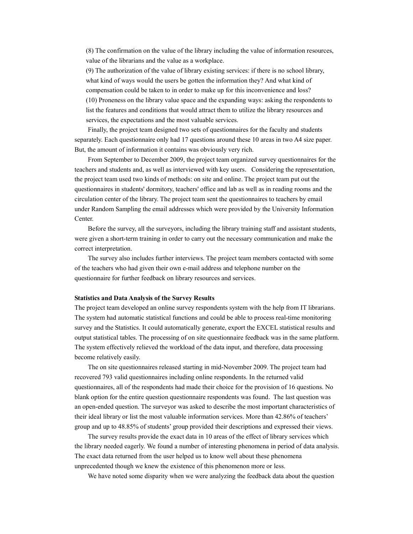(8) The confirmation on the value of the library including the value of information resources, value of the librarians and the value as a workplace.

(9) The authorization of the value of library existing services: if there is no school library, what kind of ways would the users be gotten the information they? And what kind of compensation could be taken to in order to make up for this inconvenience and loss? (10) Proneness on the library value space and the expanding ways: asking the respondents to list the features and conditions that would attract them to utilize the library resources and services, the expectations and the most valuable services.

Finally, the project team designed two sets of questionnaires for the faculty and students separately. Each questionnaire only had 17 questions around these 10 areas in two A4 size paper. But, the amount of information it contains was obviously very rich.

From September to December 2009, the project team organized survey questionnaires for the teachers and students and, as well as interviewed with key users. Considering the representation, the project team used two kinds of methods: on site and online. The project team put out the questionnaires in students' dormitory, teachers' office and lab as well as in reading rooms and the circulation center of the library. The project team sent the questionnaires to teachers by email under Random Sampling the email addresses which were provided by the University Information Center.

Before the survey, all the surveyors, including the library training staff and assistant students, were given a short-term training in order to carry out the necessary communication and make the correct interpretation.

The survey also includes further interviews. The project team members contacted with some of the teachers who had given their own e-mail address and telephone number on the questionnaire for further feedback on library resources and services.

#### **Statistics and Data Analysis of the Survey Results**

The project team developed an online survey respondents system with the help from IT librarians. The system had automatic statistical functions and could be able to process real-time monitoring survey and the Statistics. It could automatically generate, export the EXCEL statistical results and output statistical tables. The processing of on site questionnaire feedback was in the same platform. The system effectively relieved the workload of the data input, and therefore, data processing become relatively easily.

The on site questionnaires released starting in mid-November 2009. The project team had recovered 793 valid questionnaires including online respondents. In the returned valid questionnaires, all of the respondents had made their choice for the provision of 16 questions. No blank option for the entire question questionnaire respondents was found. The last question was an open-ended question. The surveyor was asked to describe the most important characteristics of their ideal library or list the most valuable information services. More than 42.86% of teachers' group and up to 48.85% of students' group provided their descriptions and expressed their views.

The survey results provide the exact data in 10 areas of the effect of library services which the library needed eagerly. We found a number of interesting phenomena in period of data analysis. The exact data returned from the user helped us to know well about these phenomena unprecedented though we knew the existence of this phenomenon more or less.

We have noted some disparity when we were analyzing the feedback data about the question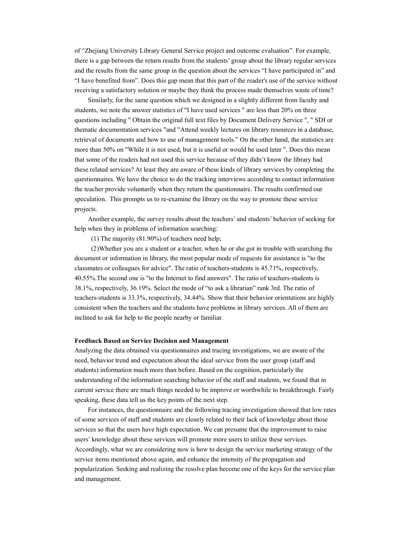of "Zhejiang University Library General Service project and outcome evaluation". For example, there is a gap between the return results from the students' group about the library regular services and the results from the same group in the question about the services "I have participated in" and "I have benefited from". Does this gap mean that this part of the reader's use of the service without receiving a satisfactory solution or maybe they think the process made themselves waste of time?

Similarly, for the same question which we designed in a slightly different from faculty and students, we note the answer statistics of "I have used services " are less than 20% on three questions including " Obtain the original full text files by Document Delivery Service ", " SDI or thematic documentation services "and "Attend weekly lectures on library resources in a database, retrieval of documents and how to use of management tools." On the other hand, the statistics are more than 50% on "While it is not used, but it is useful or would be used later ". Does this mean that some of the readers had not used this service because of they didn't know the library had these related services? At least they are aware of these kinds of library services by completing the questionnaires. We have the choice to do the tracking interviews according to contact information the teacher provide voluntarily when they return the questionnaire. The results confirmed our speculation. This prompts us to re-examine the library on the way to promote these service projects.

Another example, the survey results about the teachers' and students' behavior of seeking for help when they in problems of information searching:

(1) The majority (81.90%) of teachers need help;

 (2)Whether you are a student or a teacher, when he or she got in trouble with searching the document or information in library, the most popular mode of requests for assistance is "to the classmates or colleagues for advice". The ratio of teachers-students is 45.71%, respectively, 40.55%.The second one is "to the Internet to find answers". The ratio of teachers-students is 38.1%, respectively, 36.19%. Select the mode of "to ask a librarian" rank 3rd. The ratio of teachers-students is 33.3%, respectively, 34.44%. Show that their behavior orientations are highly consistent when the teachers and the students have problems in library services. All of them are inclined to ask for help to the people nearby or familiar.

#### **Feedback Based on Service Decision and Management**

Analyzing the data obtained via questionnaires and tracing investigations, we are aware of the need, behavior trend and expectation about the ideal service from the user group (staff and students) information much more than before. Based on the cognition, particularly the understanding of the information searching behavior of the staff and students, we found that in current service there are much things needed to be improve or worthwhile to breakthrough. Fairly speaking, these data tell us the key points of the next step.

For instances, the questionnaire and the following tracing investigation showed that low rates of some services of staff and students are closely related to their lack of knowledge about those services so that the users have high expectation. We can presume that the improvement to raise users' knowledge about these services will promote more users to utilize these services. Accordingly, what we are considering now is how to design the service marketing strategy of the service items mentioned above again, and enhance the intensity of the propagation and popularization. Seeking and realizing the resolve plan become one of the keys for the service plan and management.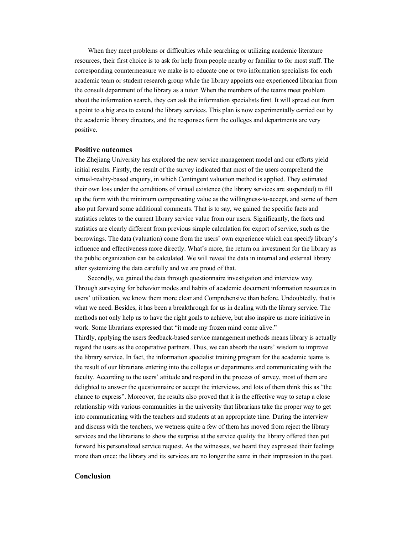When they meet problems or difficulties while searching or utilizing academic literature resources, their first choice is to ask for help from people nearby or familiar to for most staff. The corresponding countermeasure we make is to educate one or two information specialists for each academic team or student research group while the library appoints one experienced librarian from the consult department of the library as a tutor. When the members of the teams meet problem about the information search, they can ask the information specialists first. It will spread out from a point to a big area to extend the library services. This plan is now experimentally carried out by the academic library directors, and the responses form the colleges and departments are very positive.

## **Positive outcomes**

The Zhejiang University has explored the new service management model and our efforts yield initial results. Firstly, the result of the survey indicated that most of the users comprehend the virtual-reality-based enquiry, in which Contingent valuation method is applied. They estimated their own loss under the conditions of virtual existence (the library services are suspended) to fill up the form with the minimum compensating value as the willingness-to-accept, and some of them also put forward some additional comments. That is to say, we gained the specific facts and statistics relates to the current library service value from our users. Significantly, the facts and statistics are clearly different from previous simple calculation for export of service, such as the borrowings. The data (valuation) come from the users' own experience which can specify library's influence and effectiveness more directly. What's more, the return on investment for the library as the public organization can be calculated. We will reveal the data in internal and external library after systemizing the data carefully and we are proud of that.

Secondly, we gained the data through questionnaire investigation and interview way. Through surveying for behavior modes and habits of academic document information resources in users' utilization, we know them more clear and Comprehensive than before. Undoubtedly, that is what we need. Besides, it has been a breakthrough for us in dealing with the library service. The methods not only help us to have the right goals to achieve, but also inspire us more initiative in work. Some librarians expressed that "it made my frozen mind come alive."

Thirdly, applying the users feedback-based service management methods means library is actually regard the users as the cooperative partners. Thus, we can absorb the users' wisdom to improve the library service. In fact, the information specialist training program for the academic teams is the result of our librarians entering into the colleges or departments and communicating with the faculty. According to the users' attitude and respond in the process of survey, most of them are delighted to answer the questionnaire or accept the interviews, and lots of them think this as "the chance to express". Moreover, the results also proved that it is the effective way to setup a close relationship with various communities in the university that librarians take the proper way to get into communicating with the teachers and students at an appropriate time. During the interview and discuss with the teachers, we wetness quite a few of them has moved from reject the library services and the librarians to show the surprise at the service quality the library offered then put forward his personalized service request. As the witnesses, we heard they expressed their feelings more than once: the library and its services are no longer the same in their impression in the past.

## **Conclusion**